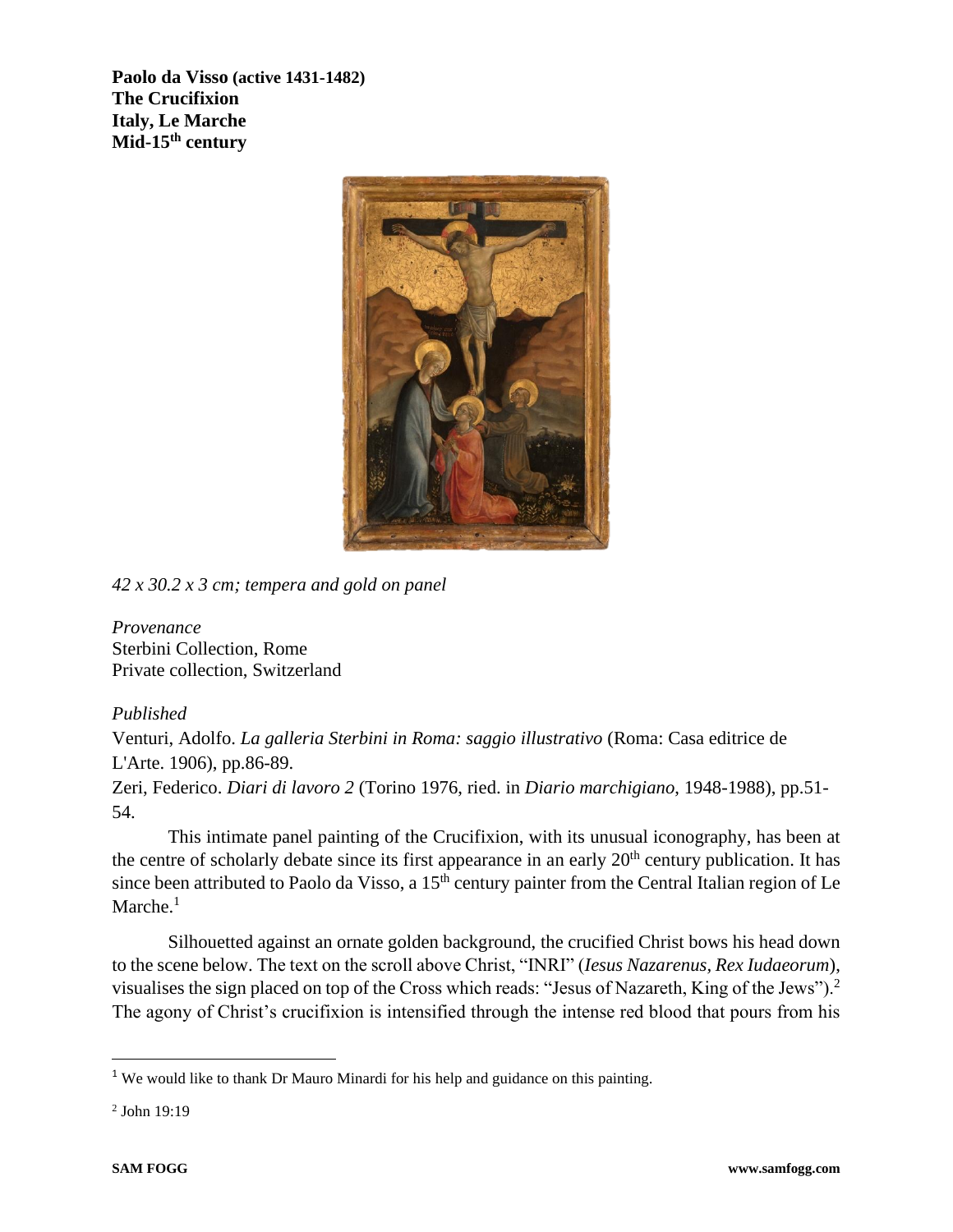**Paolo da Visso (active 1431-1482) The Crucifixion Italy, Le Marche Mid-15th century**



*42 x 30.2 x 3 cm; tempera and gold on panel*

*Provenance* Sterbini Collection, Rome Private collection, Switzerland

## *Published*

Venturi, Adolfo. *La galleria Sterbini in Roma: saggio illustrativo* (Roma: Casa editrice de L'Arte. 1906), pp.86-89.

Zeri, Federico. *Diari di lavoro 2* (Torino 1976, ried. in *Diario marchigiano*, 1948-1988), pp.51- 54.

This intimate panel painting of the Crucifixion, with its unusual iconography, has been at the centre of scholarly debate since its first appearance in an early  $20<sup>th</sup>$  century publication. It has since been attributed to Paolo da Visso, a  $15<sup>th</sup>$  century painter from the Central Italian region of Le  $M$ arche.<sup>1</sup>

Silhouetted against an ornate golden background, the crucified Christ bows his head down to the scene below. The text on the scroll above Christ, "INRI" (*Iesus Nazarenus, Rex Iudaeorum*), visualises the sign placed on top of the Cross which reads: "Jesus of Nazareth, King of the Jews").<sup>2</sup> The agony of Christ's crucifixion is intensified through the intense red blood that pours from his

2 John 19:19

<sup>&</sup>lt;sup>1</sup> We would like to thank Dr Mauro Minardi for his help and guidance on this painting.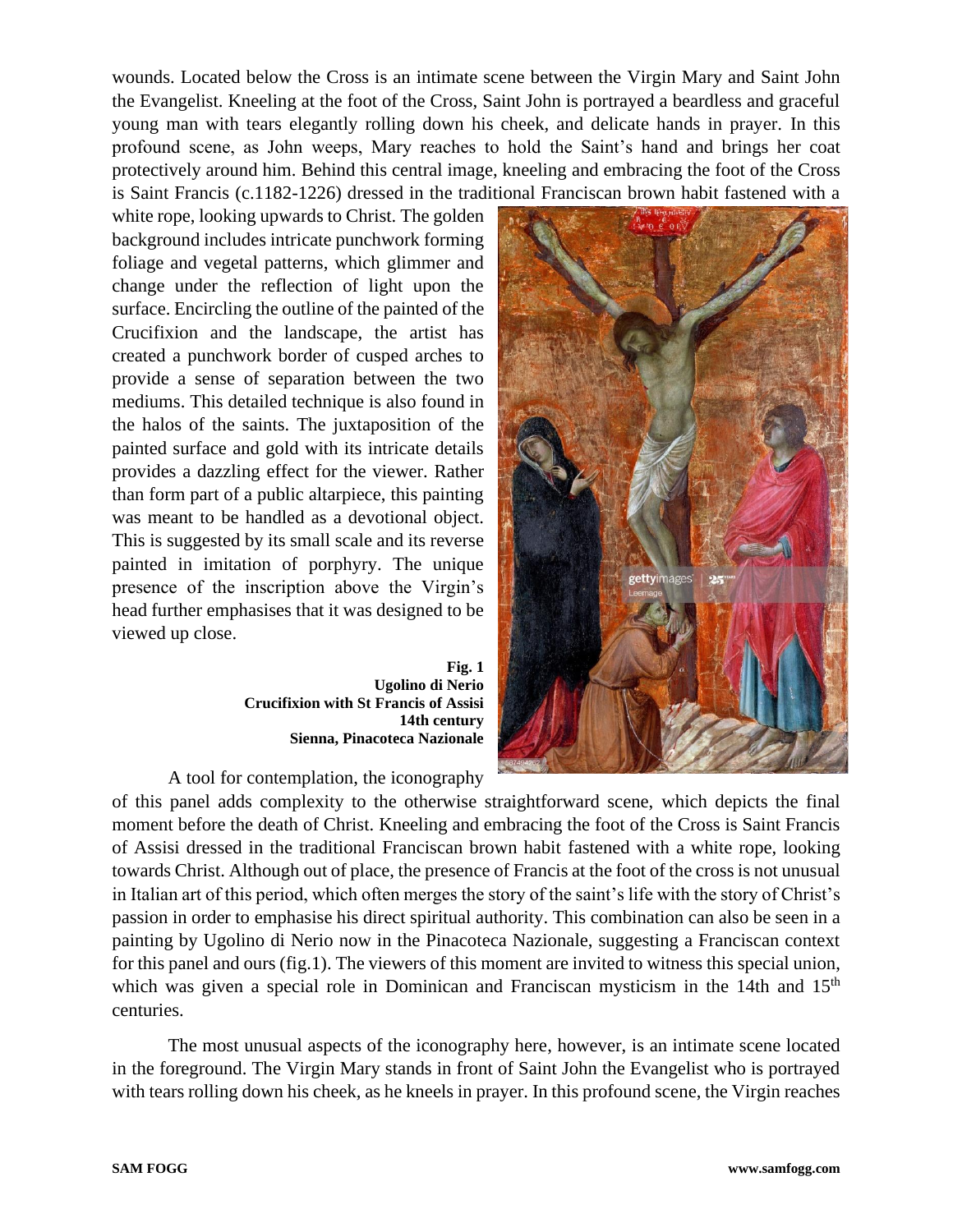wounds. Located below the Cross is an intimate scene between the Virgin Mary and Saint John the Evangelist. Kneeling at the foot of the Cross, Saint John is portrayed a beardless and graceful young man with tears elegantly rolling down his cheek, and delicate hands in prayer. In this profound scene, as John weeps, Mary reaches to hold the Saint's hand and brings her coat protectively around him. Behind this central image, kneeling and embracing the foot of the Cross is Saint Francis (c.1182-1226) dressed in the traditional Franciscan brown habit fastened with a

white rope, looking upwards to Christ. The golden background includes intricate punchwork forming foliage and vegetal patterns, which glimmer and change under the reflection of light upon the surface. Encircling the outline of the painted of the Crucifixion and the landscape, the artist has created a punchwork border of cusped arches to provide a sense of separation between the two mediums. This detailed technique is also found in the halos of the saints. The juxtaposition of the painted surface and gold with its intricate details provides a dazzling effect for the viewer. Rather than form part of a public altarpiece, this painting was meant to be handled as a devotional object. This is suggested by its small scale and its reverse painted in imitation of porphyry. The unique presence of the inscription above the Virgin's head further emphasises that it was designed to be viewed up close.

> **Fig. 1 Ugolino di Nerio Crucifixion with St Francis of Assisi 14th century Sienna, Pinacoteca Nazionale**

A tool for contemplation, the iconography



of this panel adds complexity to the otherwise straightforward scene, which depicts the final moment before the death of Christ. Kneeling and embracing the foot of the Cross is Saint Francis of Assisi dressed in the traditional Franciscan brown habit fastened with a white rope, looking towards Christ. Although out of place, the presence of Francis at the foot of the cross is not unusual in Italian art of this period, which often merges the story of the saint's life with the story of Christ's passion in order to emphasise his direct spiritual authority. This combination can also be seen in a painting by Ugolino di Nerio now in the Pinacoteca Nazionale, suggesting a Franciscan context for this panel and ours (fig.1). The viewers of this moment are invited to witness this special union, which was given a special role in Dominican and Franciscan mysticism in the 14th and 15<sup>th</sup> centuries.

The most unusual aspects of the iconography here, however, is an intimate scene located in the foreground. The Virgin Mary stands in front of Saint John the Evangelist who is portrayed with tears rolling down his cheek, as he kneels in prayer. In this profound scene, the Virgin reaches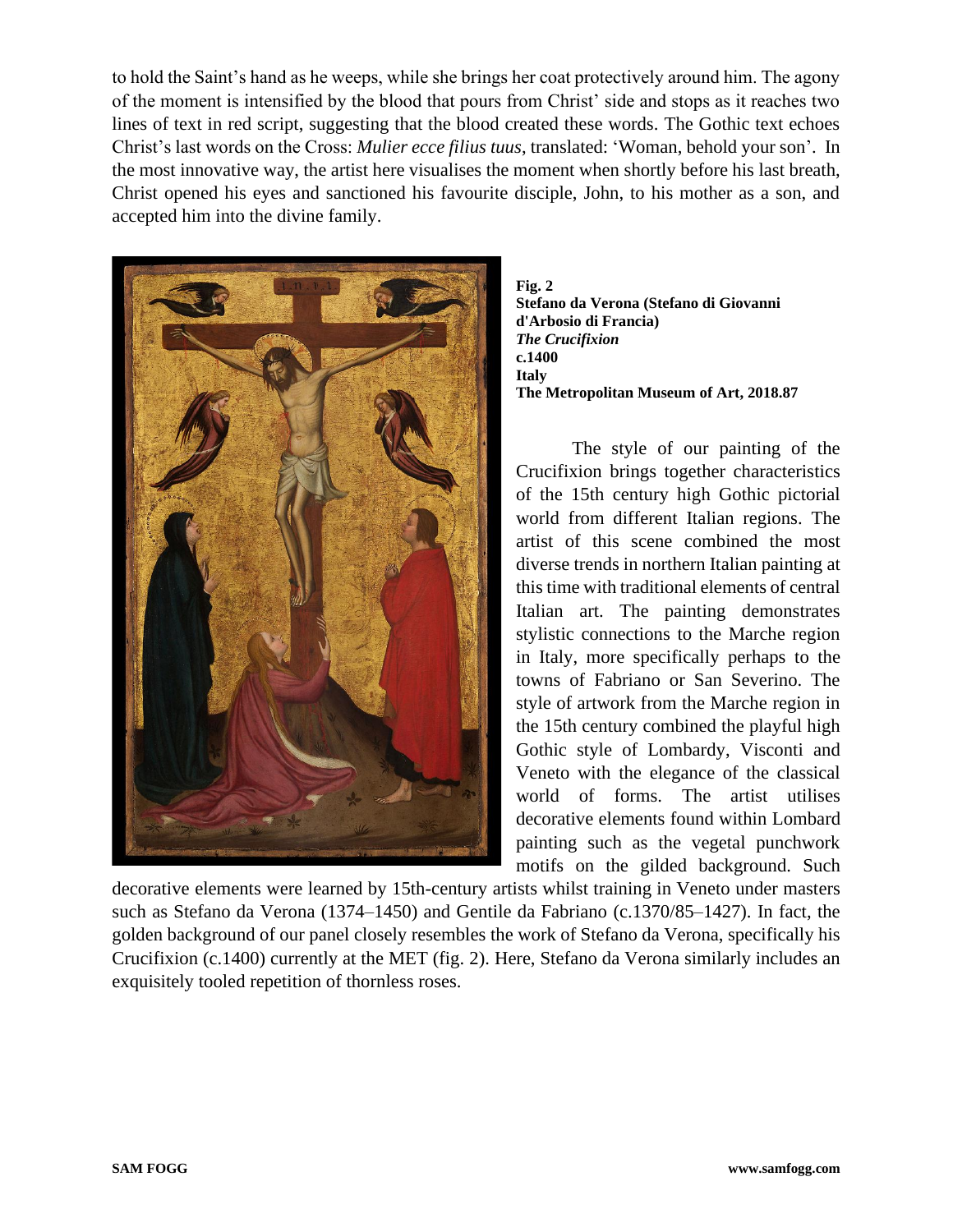to hold the Saint's hand as he weeps, while she brings her coat protectively around him. The agony of the moment is intensified by the blood that pours from Christ' side and stops as it reaches two lines of text in red script, suggesting that the blood created these words. The Gothic text echoes Christ's last words on the Cross: *Mulier ecce filius tuus*, translated: 'Woman, behold your son'. In the most innovative way, the artist here visualises the moment when shortly before his last breath, Christ opened his eyes and sanctioned his favourite disciple, John, to his mother as a son, and accepted him into the divine family.



**Fig. 2 Stefano da Verona (Stefano di Giovanni d'Arbosio di Francia)** *The Crucifixion* **c.1400 Italy The Metropolitan Museum of Art, 2018.87**

The style of our painting of the Crucifixion brings together characteristics of the 15th century high Gothic pictorial world from different Italian regions. The artist of this scene combined the most diverse trends in northern Italian painting at this time with traditional elements of central Italian art. The painting demonstrates stylistic connections to the Marche region in Italy, more specifically perhaps to the towns of Fabriano or San Severino. The style of artwork from the Marche region in the 15th century combined the playful high Gothic style of Lombardy, Visconti and Veneto with the elegance of the classical world of forms. The artist utilises decorative elements found within Lombard painting such as the vegetal punchwork motifs on the gilded background. Such

decorative elements were learned by 15th-century artists whilst training in Veneto under masters such as Stefano da Verona (1374–1450) and Gentile da Fabriano (c.1370/85–1427). In fact, the golden background of our panel closely resembles the work of Stefano da Verona, specifically his Crucifixion (c.1400) currently at the MET (fig. 2). Here, Stefano da Verona similarly includes an exquisitely tooled repetition of thornless roses.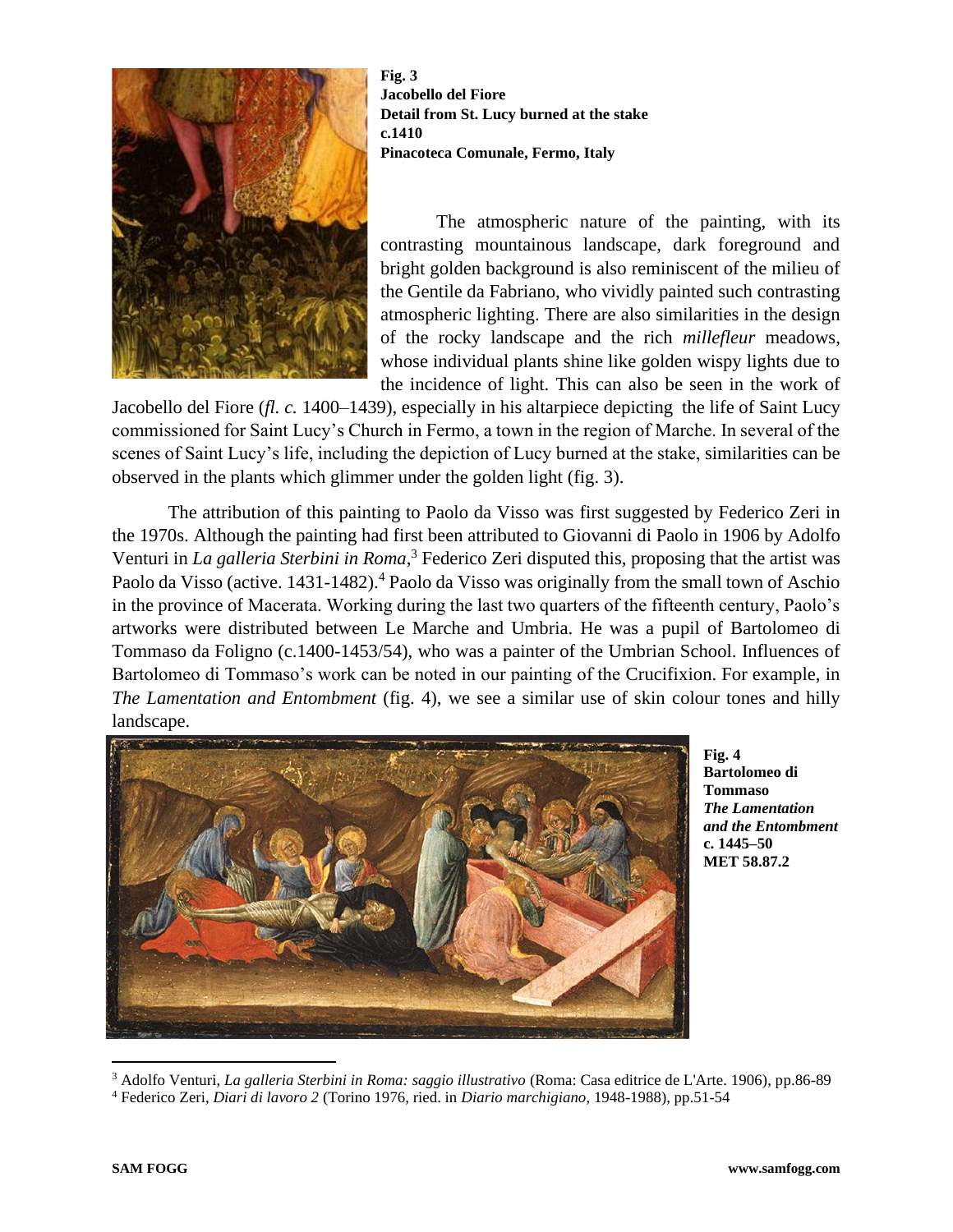

**Fig. 3 Jacobello del Fiore Detail from St. Lucy burned at the stake c.1410 Pinacoteca Comunale, Fermo, Italy**

The atmospheric nature of the painting, with its contrasting mountainous landscape, dark foreground and bright golden background is also reminiscent of the milieu of the Gentile da Fabriano, who vividly painted such contrasting atmospheric lighting. There are also similarities in the design of the rocky landscape and the rich *millefleur* meadows, whose individual plants shine like golden wispy lights due to the incidence of light. This can also be seen in the work of

Jacobello del Fiore (*fl. c.* 1400–1439), especially in his altarpiece depicting the life of Saint Lucy commissioned for Saint Lucy's Church in Fermo, a town in the region of Marche. In several of the scenes of Saint Lucy's life, including the depiction of Lucy burned at the stake, similarities can be observed in the plants which glimmer under the golden light (fig. 3).

The attribution of this painting to Paolo da Visso was first suggested by Federico Zeri in the 1970s. Although the painting had first been attributed to Giovanni di Paolo in 1906 by Adolfo Venturi in *La galleria Sterbini in Roma*, <sup>3</sup> Federico Zeri disputed this, proposing that the artist was Paolo da Visso (active. 1431-1482).<sup>4</sup> Paolo da Visso was originally from the small town of Aschio in the province of Macerata. Working during the last two quarters of the fifteenth century, Paolo's artworks were distributed between Le Marche and Umbria. He was a pupil of Bartolomeo di Tommaso da Foligno (c.1400-1453/54), who was a painter of the Umbrian School. Influences of Bartolomeo di Tommaso's work can be noted in our painting of the Crucifixion. For example, in *The Lamentation and Entombment* (fig. 4), we see a similar use of skin colour tones and hilly landscape.



**Fig. 4 Bartolomeo di Tommaso**  *The Lamentation and the Entombment* **c. 1445–50 MET 58.87.2**

<sup>3</sup> Adolfo Venturi, *La galleria Sterbini in Roma: saggio illustrativo* (Roma: Casa editrice de L'Arte. 1906), pp.86-89 <sup>4</sup> Federico Zeri, *Diari di lavoro 2* (Torino 1976, ried. in *Diario marchigiano*, 1948-1988), pp.51-54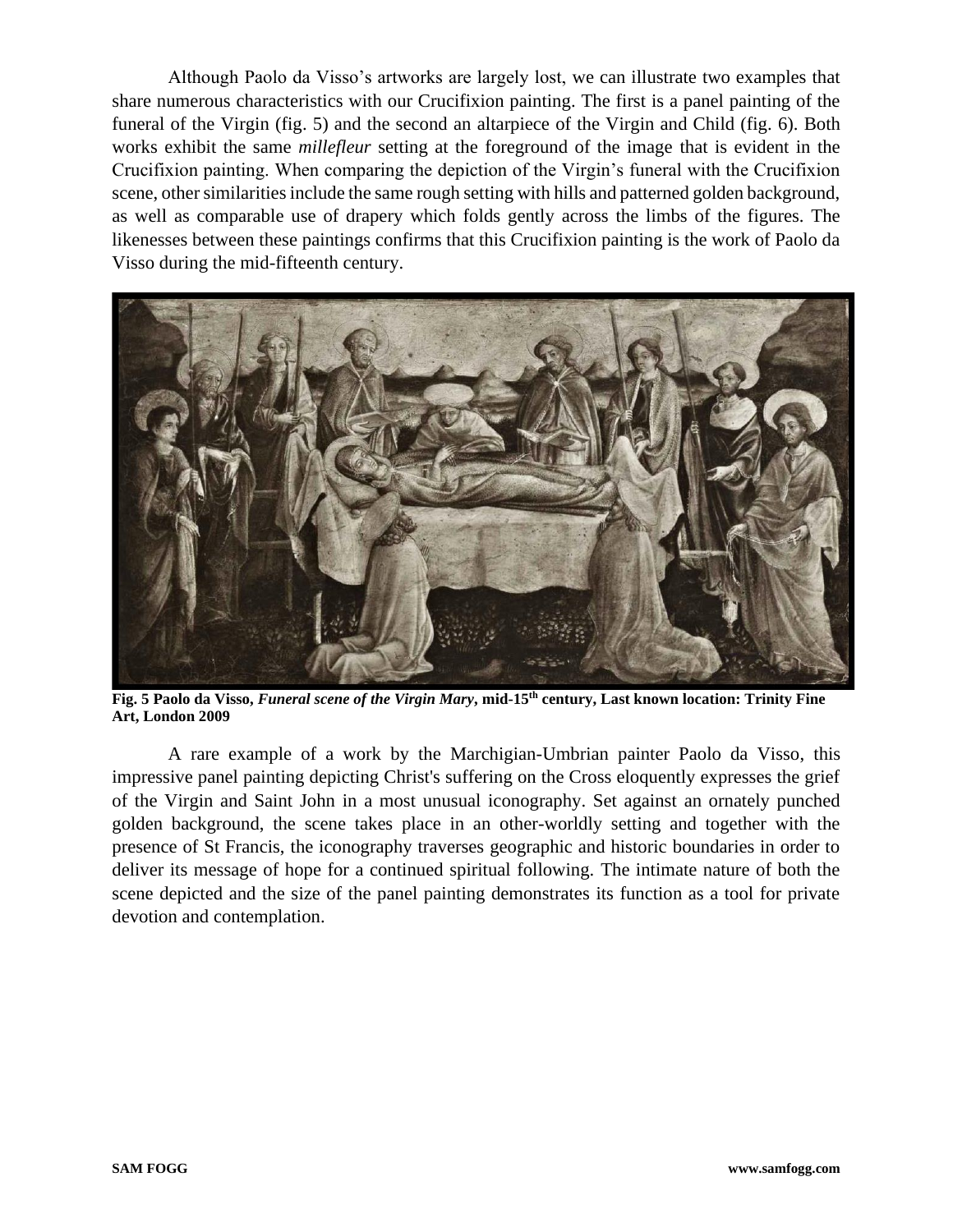Although Paolo da Visso's artworks are largely lost, we can illustrate two examples that share numerous characteristics with our Crucifixion painting. The first is a panel painting of the funeral of the Virgin (fig. 5) and the second an altarpiece of the Virgin and Child (fig. 6). Both works exhibit the same *millefleur* setting at the foreground of the image that is evident in the Crucifixion painting. When comparing the depiction of the Virgin's funeral with the Crucifixion scene, other similarities include the same rough setting with hills and patterned golden background, as well as comparable use of drapery which folds gently across the limbs of the figures. The likenesses between these paintings confirms that this Crucifixion painting is the work of Paolo da Visso during the mid-fifteenth century.



**Fig. 5 Paolo da Visso,** *Funeral scene of the Virgin Mary***, mid-15th century, Last known location: Trinity Fine Art, London 2009**

A rare example of a work by the Marchigian-Umbrian painter Paolo da Visso, this impressive panel painting depicting Christ's suffering on the Cross eloquently expresses the grief of the Virgin and Saint John in a most unusual iconography. Set against an ornately punched golden background, the scene takes place in an other-worldly setting and together with the presence of St Francis, the iconography traverses geographic and historic boundaries in order to deliver its message of hope for a continued spiritual following. The intimate nature of both the scene depicted and the size of the panel painting demonstrates its function as a tool for private devotion and contemplation.